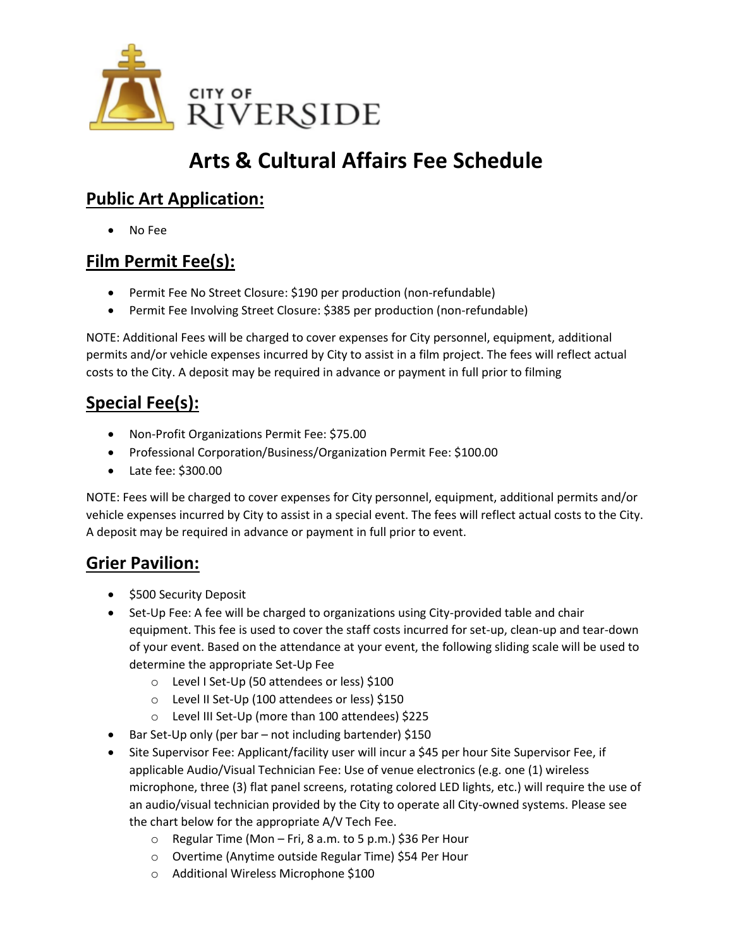

# **Arts & Cultural Affairs Fee Schedule**

## **Public Art Application:**

• No Fee

## **Film Permit Fee(s):**

- Permit Fee No Street Closure: \$190 per production (non-refundable)
- Permit Fee Involving Street Closure: \$385 per production (non-refundable)

NOTE: Additional Fees will be charged to cover expenses for City personnel, equipment, additional permits and/or vehicle expenses incurred by City to assist in a film project. The fees will reflect actual costs to the City. A deposit may be required in advance or payment in full prior to filming

## **Special Fee(s):**

- Non-Profit Organizations Permit Fee: \$75.00
- Professional Corporation/Business/Organization Permit Fee: \$100.00
- Late fee: \$300.00

NOTE: Fees will be charged to cover expenses for City personnel, equipment, additional permits and/or vehicle expenses incurred by City to assist in a special event. The fees will reflect actual costs to the City. A deposit may be required in advance or payment in full prior to event.

#### **Grier Pavilion:**

- \$500 Security Deposit
- Set-Up Fee: A fee will be charged to organizations using City-provided table and chair equipment. This fee is used to cover the staff costs incurred for set-up, clean-up and tear-down of your event. Based on the attendance at your event, the following sliding scale will be used to determine the appropriate Set-Up Fee
	- o Level I Set-Up (50 attendees or less) \$100
	- o Level II Set-Up (100 attendees or less) \$150
	- o Level III Set-Up (more than 100 attendees) \$225
- Bar Set-Up only (per bar not including bartender) \$150
- Site Supervisor Fee: Applicant/facility user will incur a \$45 per hour Site Supervisor Fee, if applicable Audio/Visual Technician Fee: Use of venue electronics (e.g. one (1) wireless microphone, three (3) flat panel screens, rotating colored LED lights, etc.) will require the use of an audio/visual technician provided by the City to operate all City-owned systems. Please see the chart below for the appropriate A/V Tech Fee.
	- o Regular Time (Mon Fri, 8 a.m. to 5 p.m.) \$36 Per Hour
	- o Overtime (Anytime outside Regular Time) \$54 Per Hour
	- o Additional Wireless Microphone \$100